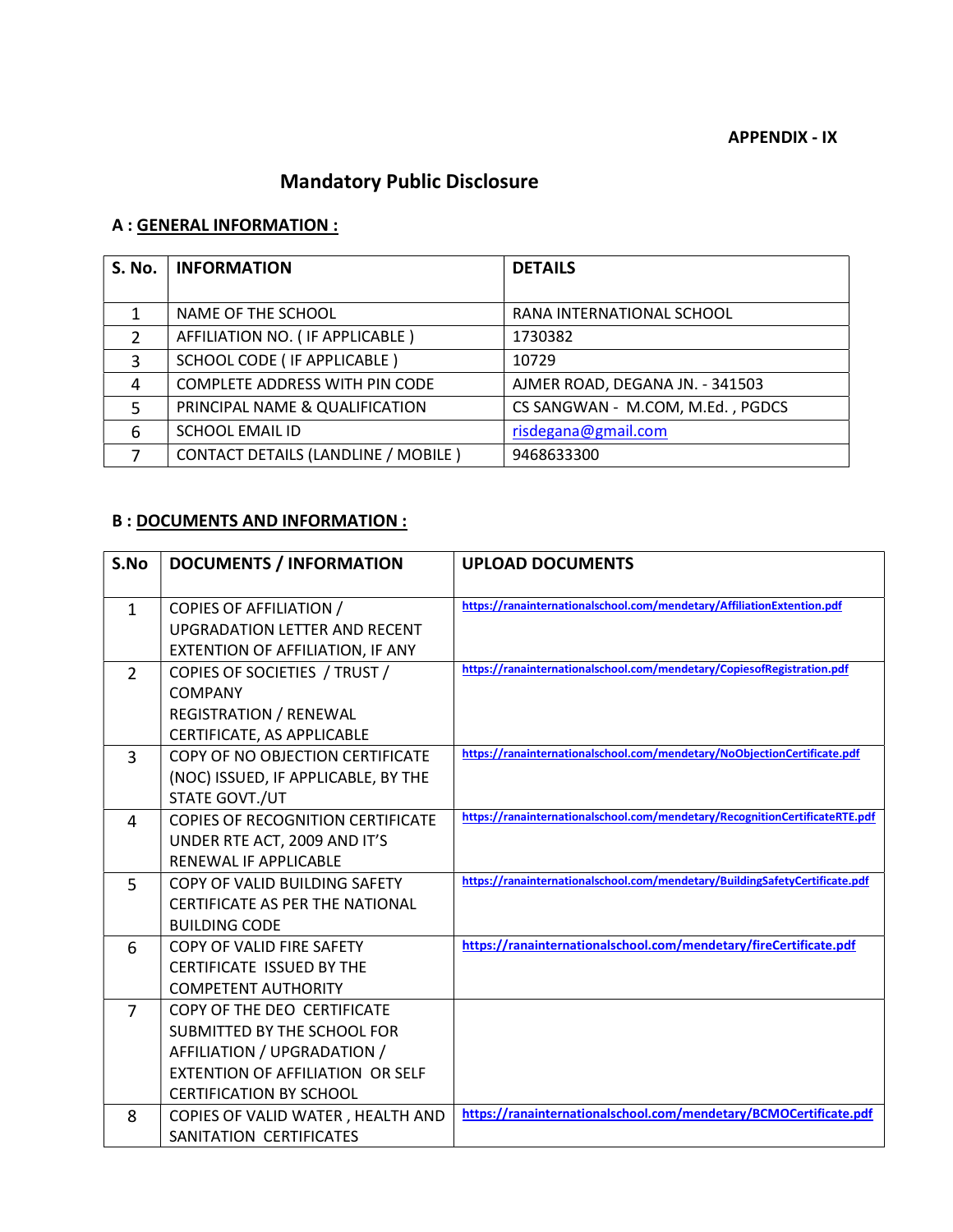## Mandatory Public Disclosure

### A : GENERAL INFORMATION :

| <b>S. No.</b> | <b>INFORMATION</b>                         | <b>DETAILS</b>                   |
|---------------|--------------------------------------------|----------------------------------|
|               |                                            |                                  |
|               | NAME OF THE SCHOOL                         | RANA INTERNATIONAL SCHOOL        |
| $\mathfrak z$ | AFFILIATION NO. (IF APPLICABLE)            | 1730382                          |
| 3             | SCHOOL CODE ( IF APPLICABLE )              | 10729                            |
| 4             | <b>COMPLETE ADDRESS WITH PIN CODE</b>      | AJMER ROAD, DEGANA JN. - 341503  |
| 5             | PRINCIPAL NAME & QUALIFICATION             | CS SANGWAN - M.COM, M.Ed., PGDCS |
| 6             | <b>SCHOOL EMAIL ID</b>                     | risdegana@gmail.com              |
|               | <b>CONTACT DETAILS (LANDLINE / MOBILE)</b> | 9468633300                       |

#### B : DOCUMENTS AND INFORMATION :

| S.No           | <b>DOCUMENTS / INFORMATION</b>                                                                                                                                         | <b>UPLOAD DOCUMENTS</b>                                                     |
|----------------|------------------------------------------------------------------------------------------------------------------------------------------------------------------------|-----------------------------------------------------------------------------|
| $\mathbf{1}$   | <b>COPIES OF AFFILIATION /</b><br><b>UPGRADATION LETTER AND RECENT</b><br>EXTENTION OF AFFILIATION, IF ANY                                                             | https://ranainternationalschool.com/mendetary/AffiliationExtention.pdf      |
| 2              | COPIES OF SOCIETIES / TRUST /<br><b>COMPANY</b><br><b>REGISTRATION / RENEWAL</b><br>CERTIFICATE, AS APPLICABLE                                                         | https://ranainternationalschool.com/mendetary/CopiesofRegistration.pdf      |
| $\overline{3}$ | COPY OF NO OBJECTION CERTIFICATE<br>(NOC) ISSUED, IF APPLICABLE, BY THE<br>STATE GOVT./UT                                                                              | https://ranainternationalschool.com/mendetary/NoObjectionCertificate.pdf    |
| 4              | <b>COPIES OF RECOGNITION CERTIFICATE</b><br>UNDER RTE ACT, 2009 AND IT'S<br>RENEWAL IF APPLICABLE                                                                      | https://ranainternationalschool.com/mendetary/RecognitionCertificateRTE.pdf |
| 5              | COPY OF VALID BUILDING SAFETY<br><b>CERTIFICATE AS PER THE NATIONAL</b><br><b>BUILDING CODE</b>                                                                        | https://ranainternationalschool.com/mendetary/BuildingSafetyCertificate.pdf |
| 6              | COPY OF VALID FIRE SAFETY<br><b>CERTIFICATE ISSUED BY THE</b><br><b>COMPETENT AUTHORITY</b>                                                                            | https://ranainternationalschool.com/mendetary/fireCertificate.pdf           |
| 7              | COPY OF THE DEO CERTIFICATE<br>SUBMITTED BY THE SCHOOL FOR<br>AFFILIATION / UPGRADATION /<br><b>EXTENTION OF AFFILIATION OR SELF</b><br><b>CERTIFICATION BY SCHOOL</b> |                                                                             |
| 8              | COPIES OF VALID WATER, HEALTH AND<br>SANITATION CERTIFICATES                                                                                                           | https://ranainternationalschool.com/mendetary/BCMOCertificate.pdf           |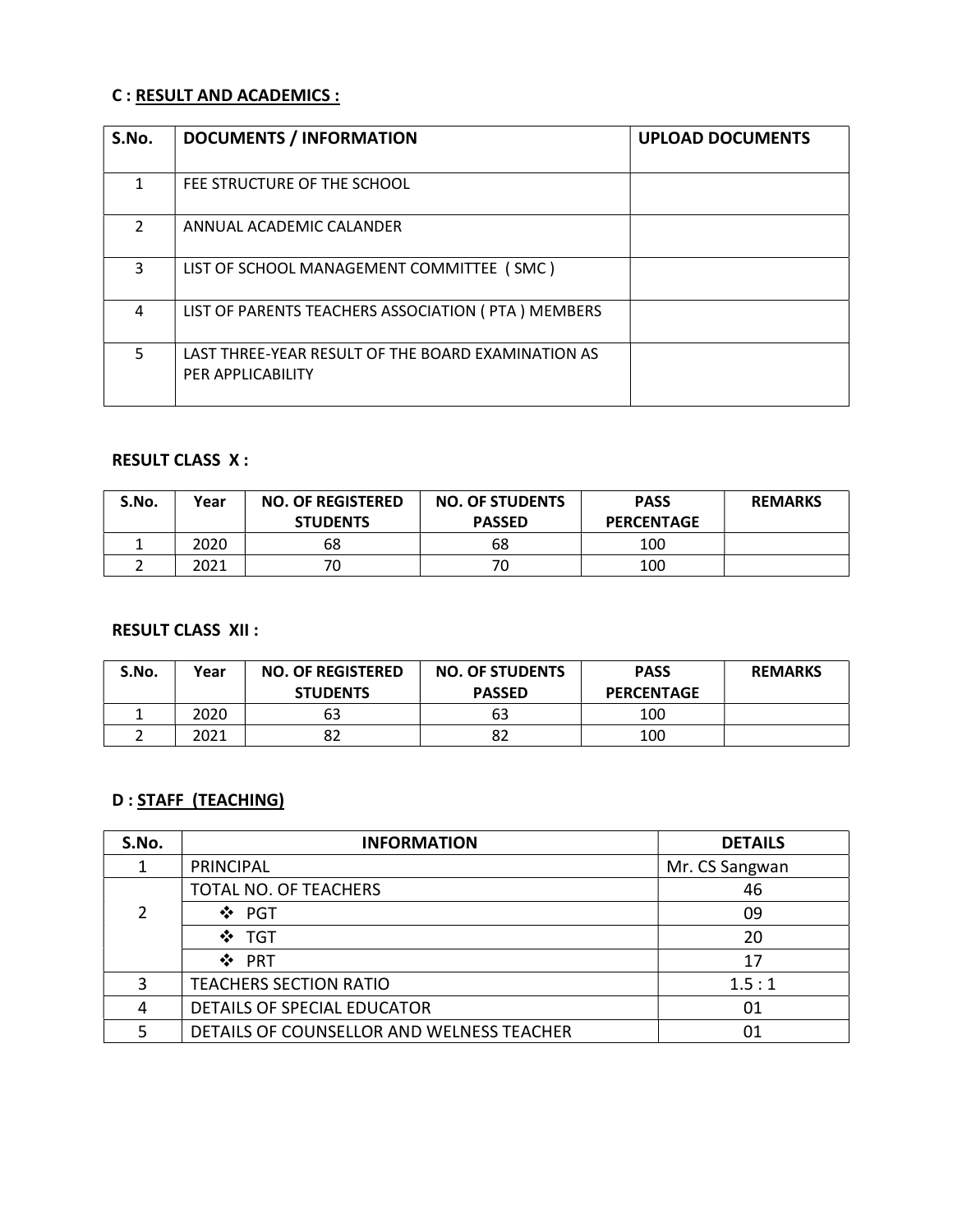#### C : RESULT AND ACADEMICS :

| S.No.         | <b>DOCUMENTS / INFORMATION</b>                                          | <b>UPLOAD DOCUMENTS</b> |
|---------------|-------------------------------------------------------------------------|-------------------------|
| 1             | FEE STRUCTURE OF THE SCHOOL                                             |                         |
| $\mathcal{P}$ | ANNUAL ACADEMIC CALANDER                                                |                         |
| 3             | LIST OF SCHOOL MANAGEMENT COMMITTEE (SMC)                               |                         |
| 4             | LIST OF PARENTS TEACHERS ASSOCIATION (PTA) MEMBERS                      |                         |
| 5             | LAST THREE-YEAR RESULT OF THE BOARD EXAMINATION AS<br>PER APPLICABILITY |                         |

### RESULT CLASS X :

| S.No. | Year | <b>NO. OF REGISTERED</b><br><b>STUDENTS</b> | <b>NO. OF STUDENTS</b><br><b>PASSED</b> | <b>PASS</b><br><b>PERCENTAGE</b> | <b>REMARKS</b> |
|-------|------|---------------------------------------------|-----------------------------------------|----------------------------------|----------------|
|       | 2020 | 68                                          | 68                                      | 100                              |                |
|       | 2021 | 70                                          | 70                                      | 100                              |                |

#### RESULT CLASS XII :

| S.No. | Year | <b>NO. OF REGISTERED</b><br><b>STUDENTS</b> | <b>NO. OF STUDENTS</b><br><b>PASSED</b> | <b>PASS</b><br><b>PERCENTAGE</b> | <b>REMARKS</b> |
|-------|------|---------------------------------------------|-----------------------------------------|----------------------------------|----------------|
|       | 2020 | 63                                          | 63                                      | 100                              |                |
|       | 2021 | ٥z                                          | 82                                      | 100                              |                |

### D : STAFF (TEACHING)

| S.No. | <b>INFORMATION</b>                        | <b>DETAILS</b> |
|-------|-------------------------------------------|----------------|
|       | <b>PRINCIPAL</b>                          | Mr. CS Sangwan |
|       | TOTAL NO. OF TEACHERS                     | 46             |
| 2     | ❖ PGT                                     | 09             |
|       | ❖ TGT                                     | 20             |
|       | ❖ PRT                                     | 17             |
| ς     | <b>TEACHERS SECTION RATIO</b>             | 1.5:1          |
|       | DETAILS OF SPECIAL EDUCATOR               | 01             |
|       | DETAILS OF COUNSELLOR AND WELNESS TEACHER |                |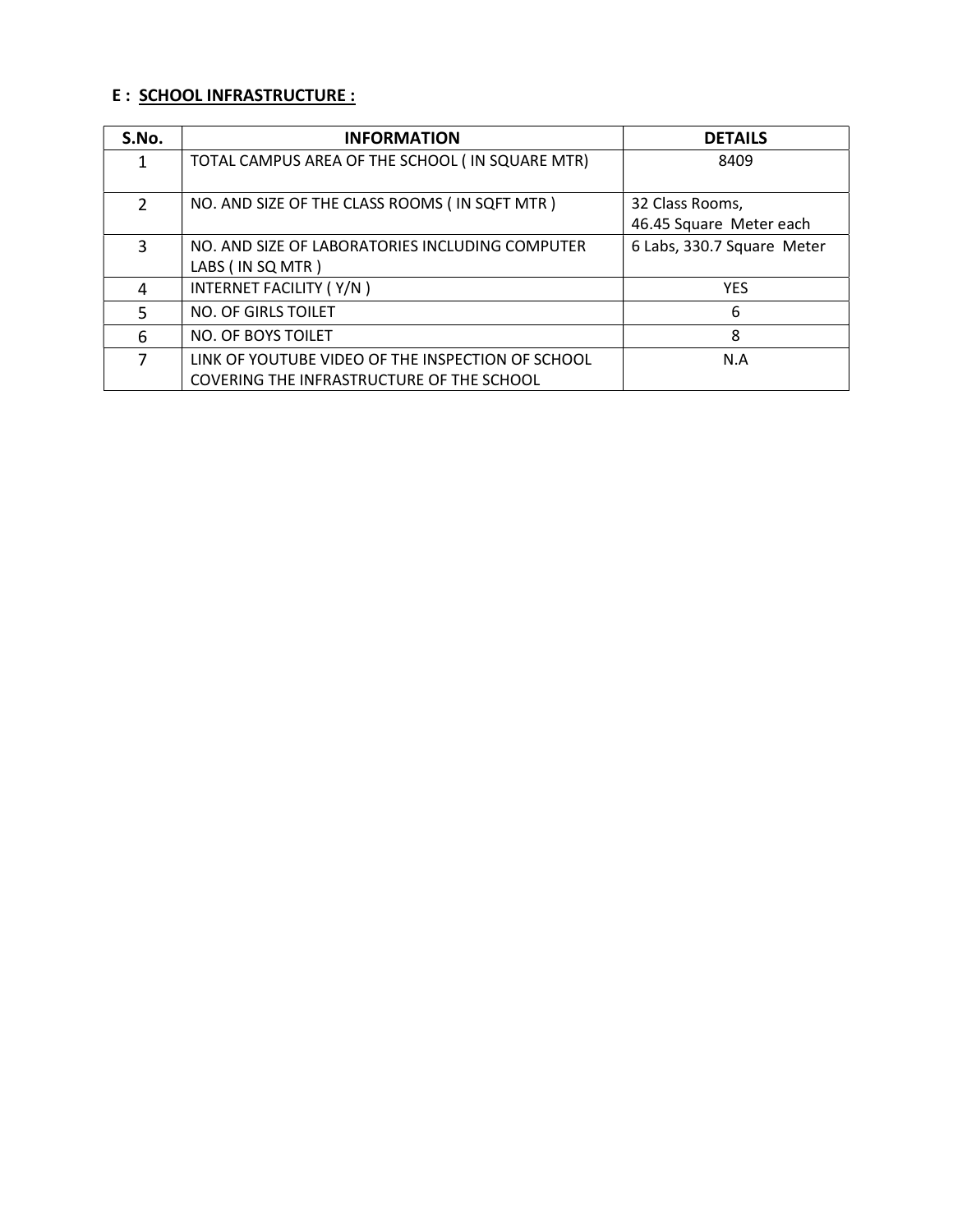#### E : SCHOOL INFRASTRUCTURE :

| S.No.         | <b>INFORMATION</b>                                | <b>DETAILS</b>             |
|---------------|---------------------------------------------------|----------------------------|
| 1             | TOTAL CAMPUS AREA OF THE SCHOOL (IN SQUARE MTR)   | 8409                       |
| $\mathcal{P}$ | NO. AND SIZE OF THE CLASS ROOMS (IN SQFT MTR)     | 32 Class Rooms,            |
|               |                                                   | 46.45 Square Meter each    |
| 3             | NO. AND SIZE OF LABORATORIES INCLUDING COMPUTER   | 6 Labs, 330.7 Square Meter |
|               | LABS (IN SQ MTR)                                  |                            |
| 4             | INTERNET FACILITY (Y/N)                           | <b>YES</b>                 |
| 5             | NO. OF GIRLS TOILET                               | 6                          |
| 6             | NO. OF BOYS TOILET                                | 8                          |
| 7             | LINK OF YOUTUBE VIDEO OF THE INSPECTION OF SCHOOL | N.A                        |
|               | COVERING THE INFRASTRUCTURE OF THE SCHOOL         |                            |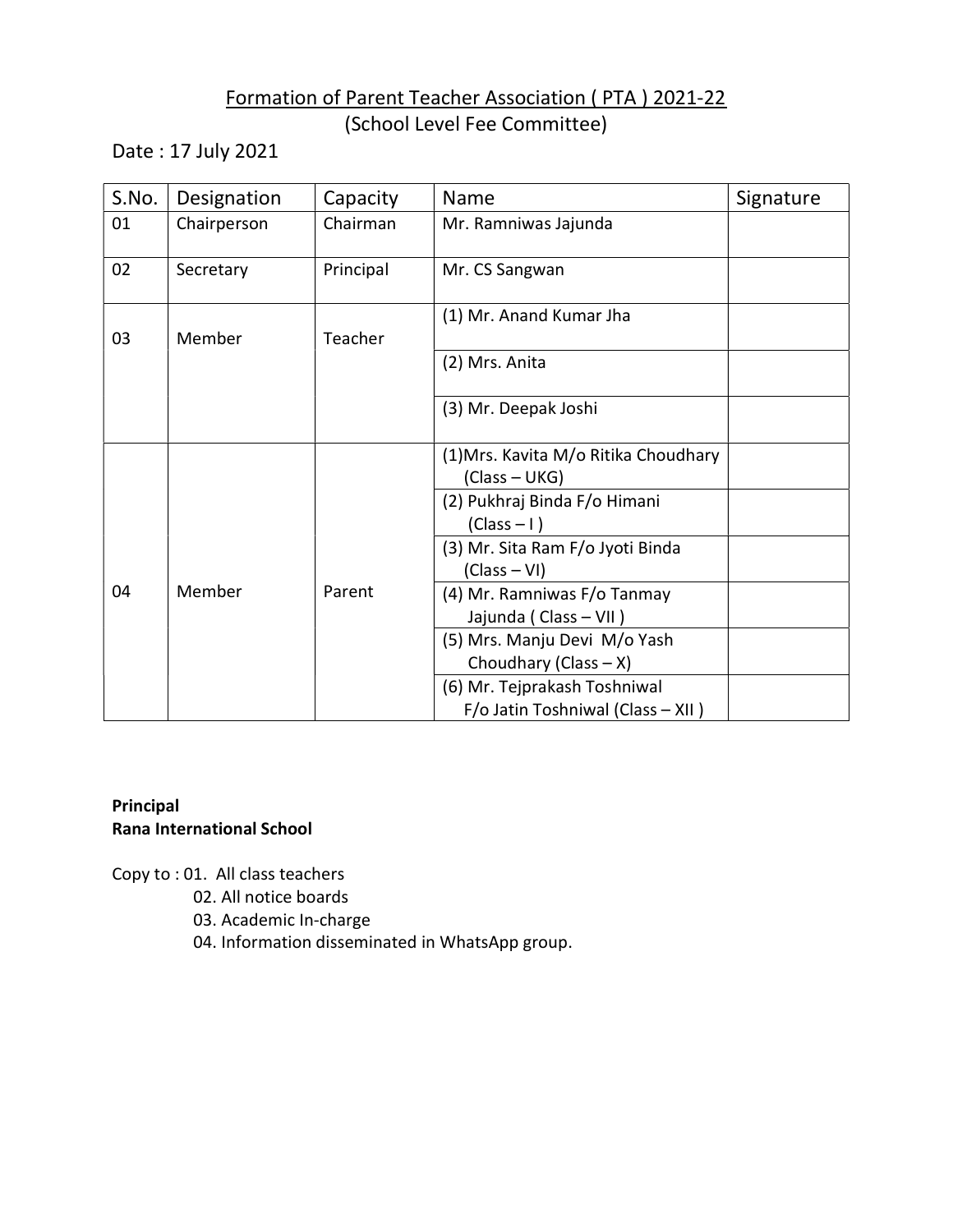### Formation of Parent Teacher Association ( PTA ) 2021-22 (School Level Fee Committee)

Date : 17 July 2021

| S.No. | Designation | Capacity  | Name                                                              | Signature |
|-------|-------------|-----------|-------------------------------------------------------------------|-----------|
| 01    | Chairperson | Chairman  | Mr. Ramniwas Jajunda                                              |           |
| 02    | Secretary   | Principal | Mr. CS Sangwan                                                    |           |
| 03    | Member      | Teacher   | (1) Mr. Anand Kumar Jha                                           |           |
|       |             |           | (2) Mrs. Anita                                                    |           |
|       |             |           | (3) Mr. Deepak Joshi                                              |           |
|       |             |           | (1) Mrs. Kavita M/o Ritika Choudhary<br>(Class - UKG)             |           |
|       |             |           | (2) Pukhraj Binda F/o Himani<br>$(Class-I)$                       |           |
|       |             |           | (3) Mr. Sita Ram F/o Jyoti Binda<br>$(Class - VI)$                |           |
| 04    | Member      | Parent    | (4) Mr. Ramniwas F/o Tanmay<br>Jajunda (Class - VII)              |           |
|       |             |           | (5) Mrs. Manju Devi M/o Yash<br>Choudhary (Class $- X$ )          |           |
|       |             |           | (6) Mr. Tejprakash Toshniwal<br>F/o Jatin Toshniwal (Class - XII) |           |

### Principal Rana International School

Copy to : 01. All class teachers

- 02. All notice boards
- 03. Academic In-charge
- 04. Information disseminated in WhatsApp group.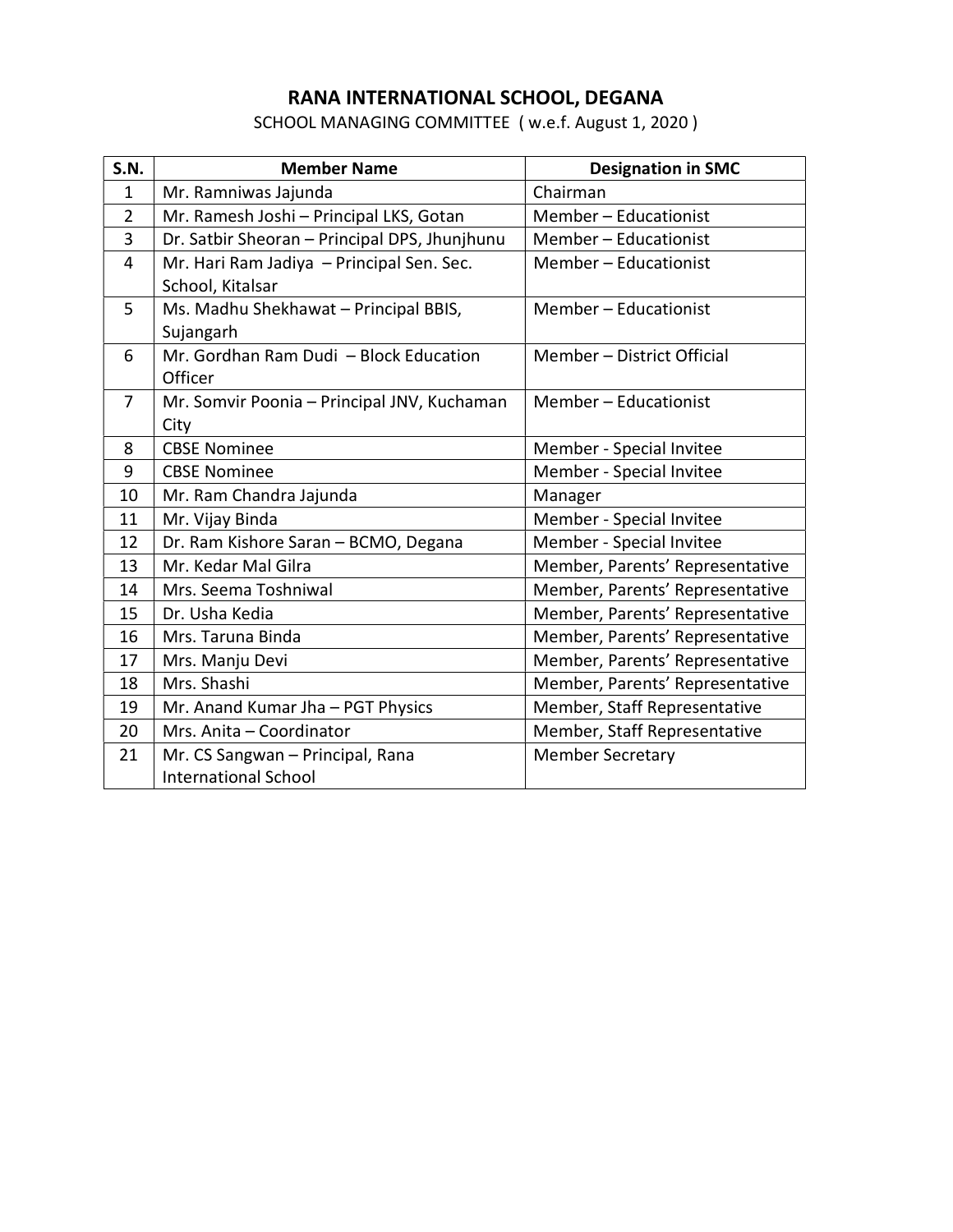## RANA INTERNATIONAL SCHOOL, DEGANA

SCHOOL MANAGING COMMITTEE ( w.e.f. August 1, 2020 )

| <b>S.N.</b>    | <b>Member Name</b>                            | <b>Designation in SMC</b>       |
|----------------|-----------------------------------------------|---------------------------------|
| $\mathbf{1}$   | Mr. Ramniwas Jajunda                          | Chairman                        |
| 2              | Mr. Ramesh Joshi - Principal LKS, Gotan       | Member - Educationist           |
| 3              | Dr. Satbir Sheoran - Principal DPS, Jhunjhunu | Member - Educationist           |
| 4              | Mr. Hari Ram Jadiya - Principal Sen. Sec.     | Member - Educationist           |
|                | School, Kitalsar                              |                                 |
| 5              | Ms. Madhu Shekhawat - Principal BBIS,         | Member - Educationist           |
|                | Sujangarh                                     |                                 |
| 6              | Mr. Gordhan Ram Dudi - Block Education        | Member - District Official      |
|                | Officer                                       |                                 |
| $\overline{7}$ | Mr. Somvir Poonia - Principal JNV, Kuchaman   | Member - Educationist           |
|                | City                                          |                                 |
| 8              | <b>CBSE Nominee</b>                           | Member - Special Invitee        |
| 9              | <b>CBSE Nominee</b>                           | Member - Special Invitee        |
| 10             | Mr. Ram Chandra Jajunda                       | Manager                         |
| 11             | Mr. Vijay Binda                               | Member - Special Invitee        |
| 12             | Dr. Ram Kishore Saran - BCMO, Degana          | Member - Special Invitee        |
| 13             | Mr. Kedar Mal Gilra                           | Member, Parents' Representative |
| 14             | Mrs. Seema Toshniwal                          | Member, Parents' Representative |
| 15             | Dr. Usha Kedia                                | Member, Parents' Representative |
| 16             | Mrs. Taruna Binda                             | Member, Parents' Representative |
| 17             | Mrs. Manju Devi                               | Member, Parents' Representative |
| 18             | Mrs. Shashi                                   | Member, Parents' Representative |
| 19             | Mr. Anand Kumar Jha - PGT Physics             | Member, Staff Representative    |
| 20             | Mrs. Anita - Coordinator                      | Member, Staff Representative    |
| 21             | Mr. CS Sangwan - Principal, Rana              | <b>Member Secretary</b>         |
|                | <b>International School</b>                   |                                 |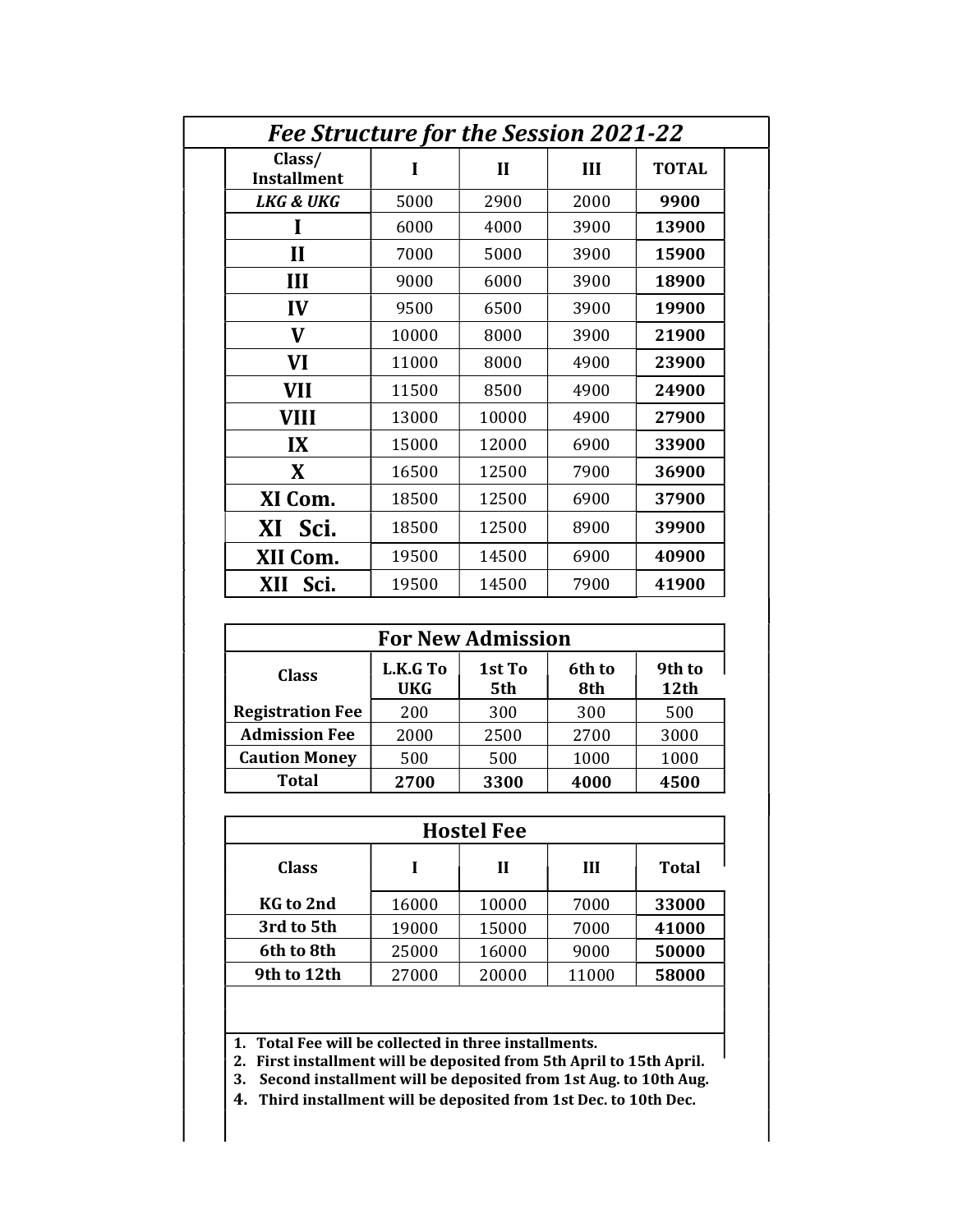| Fee Structure for the Session 2021-22 |       |              |      |              |  |
|---------------------------------------|-------|--------------|------|--------------|--|
| Class/<br><b>Installment</b>          | I     | $\mathbf{I}$ | III  | <b>TOTAL</b> |  |
| LKG & UKG                             | 5000  | 2900         | 2000 | 9900         |  |
|                                       | 6000  | 4000         | 3900 | 13900        |  |
| $\mathbf{I}$                          | 7000  | 5000         | 3900 | 15900        |  |
| III                                   | 9000  | 6000         | 3900 | 18900        |  |
| IV                                    | 9500  | 6500         | 3900 | 19900        |  |
| V                                     | 10000 | 8000         | 3900 | 21900        |  |
| <b>VI</b>                             | 11000 | 8000         | 4900 | 23900        |  |
| <b>VII</b>                            | 11500 | 8500         | 4900 | 24900        |  |
| <b>VIII</b>                           | 13000 | 10000        | 4900 | 27900        |  |
| IX                                    | 15000 | 12000        | 6900 | 33900        |  |
| X                                     | 16500 | 12500        | 7900 | 36900        |  |
| XI Com.                               | 18500 | 12500        | 6900 | 37900        |  |
| XI<br>Sci.                            | 18500 | 12500        | 8900 | 39900        |  |
| XII Com.                              | 19500 | 14500        | 6900 | 40900        |  |
| Sci.<br>XII                           | 19500 | 14500        | 7900 | 41900        |  |

| <b>For New Admission</b> |                        |               |               |                |
|--------------------------|------------------------|---------------|---------------|----------------|
| <b>Class</b>             | L.K.G To<br><b>UKG</b> | 1st To<br>5th | 6th to<br>8th | 9th to<br>12th |
| <b>Registration Fee</b>  | 200                    | 300           | 300           | 500            |
| <b>Admission Fee</b>     | 2000                   | 2500          | 2700          | 3000           |
| <b>Caution Money</b>     | 500                    | 500           | 1000          | 1000           |
| <b>Total</b>             | 2700                   | 3300          | 4000          | 4500           |

| <b>Hostel Fee</b> |       |       |       |              |  |
|-------------------|-------|-------|-------|--------------|--|
| <b>Class</b>      |       | Н     | Ш     | <b>Total</b> |  |
| KG to 2nd         | 16000 | 10000 | 7000  | 33000        |  |
| 3rd to 5th        | 19000 | 15000 | 7000  | 41000        |  |
| 6th to 8th        | 25000 | 16000 | 9000  | 50000        |  |
| 9th to 12th       | 27000 | 20000 | 11000 | 58000        |  |

1. Total Fee will be collected in three installments.

2. First installment will be deposited from 5th April to 15th April.

3. Second installment will be deposited from 1st Aug. to 10th Aug.

4. Third installment will be deposited from 1st Dec. to 10th Dec.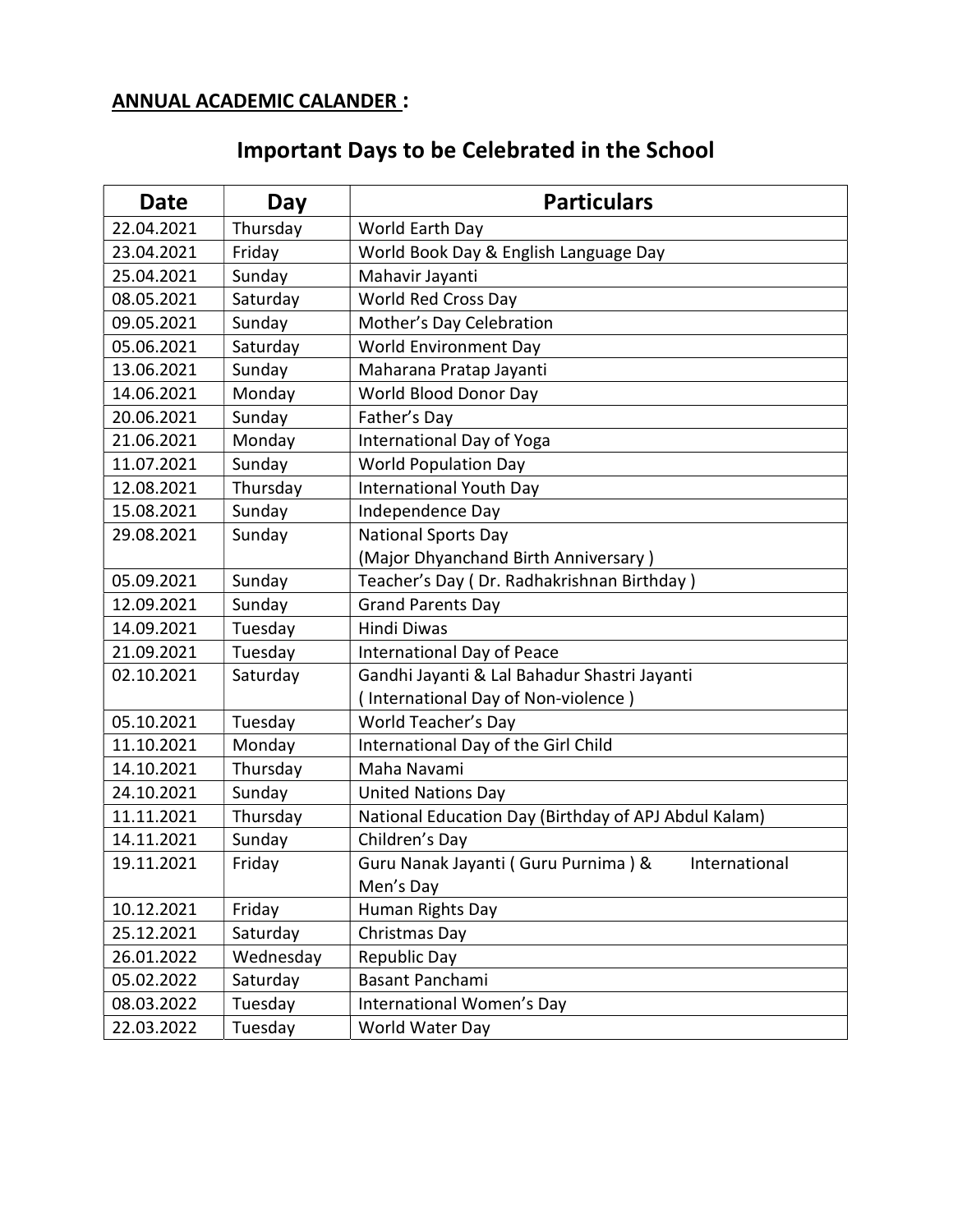# ANNUAL ACADEMIC CALANDER :

# Important Days to be Celebrated in the School

| <b>Date</b> | Day       | <b>Particulars</b>                                   |  |  |  |
|-------------|-----------|------------------------------------------------------|--|--|--|
| 22.04.2021  | Thursday  | World Earth Day                                      |  |  |  |
| 23.04.2021  | Friday    | World Book Day & English Language Day                |  |  |  |
| 25.04.2021  | Sunday    | Mahavir Jayanti                                      |  |  |  |
| 08.05.2021  | Saturday  | World Red Cross Day                                  |  |  |  |
| 09.05.2021  | Sunday    | Mother's Day Celebration                             |  |  |  |
| 05.06.2021  | Saturday  | World Environment Day                                |  |  |  |
| 13.06.2021  | Sunday    | Maharana Pratap Jayanti                              |  |  |  |
| 14.06.2021  | Monday    | World Blood Donor Day                                |  |  |  |
| 20.06.2021  | Sunday    | Father's Day                                         |  |  |  |
| 21.06.2021  | Monday    | International Day of Yoga                            |  |  |  |
| 11.07.2021  | Sunday    | <b>World Population Day</b>                          |  |  |  |
| 12.08.2021  | Thursday  | <b>International Youth Day</b>                       |  |  |  |
| 15.08.2021  | Sunday    | Independence Day                                     |  |  |  |
| 29.08.2021  | Sunday    | <b>National Sports Day</b>                           |  |  |  |
|             |           | (Major Dhyanchand Birth Anniversary)                 |  |  |  |
| 05.09.2021  | Sunday    | Teacher's Day (Dr. Radhakrishnan Birthday)           |  |  |  |
| 12.09.2021  | Sunday    | <b>Grand Parents Day</b>                             |  |  |  |
| 14.09.2021  | Tuesday   | <b>Hindi Diwas</b>                                   |  |  |  |
| 21.09.2021  | Tuesday   | International Day of Peace                           |  |  |  |
| 02.10.2021  | Saturday  | Gandhi Jayanti & Lal Bahadur Shastri Jayanti         |  |  |  |
|             |           | (International Day of Non-violence)                  |  |  |  |
| 05.10.2021  | Tuesday   | World Teacher's Day                                  |  |  |  |
| 11.10.2021  | Monday    | International Day of the Girl Child                  |  |  |  |
| 14.10.2021  | Thursday  | Maha Navami                                          |  |  |  |
| 24.10.2021  | Sunday    | <b>United Nations Day</b>                            |  |  |  |
| 11.11.2021  | Thursday  | National Education Day (Birthday of APJ Abdul Kalam) |  |  |  |
| 14.11.2021  | Sunday    | Children's Day                                       |  |  |  |
| 19.11.2021  | Friday    | Guru Nanak Jayanti (Guru Purnima) &<br>International |  |  |  |
|             |           | Men's Day                                            |  |  |  |
| 10.12.2021  | Friday    | Human Rights Day                                     |  |  |  |
| 25.12.2021  | Saturday  | Christmas Day                                        |  |  |  |
| 26.01.2022  | Wednesday | <b>Republic Day</b>                                  |  |  |  |
| 05.02.2022  | Saturday  | Basant Panchami                                      |  |  |  |
| 08.03.2022  | Tuesday   | International Women's Day                            |  |  |  |
| 22.03.2022  | Tuesday   | World Water Day                                      |  |  |  |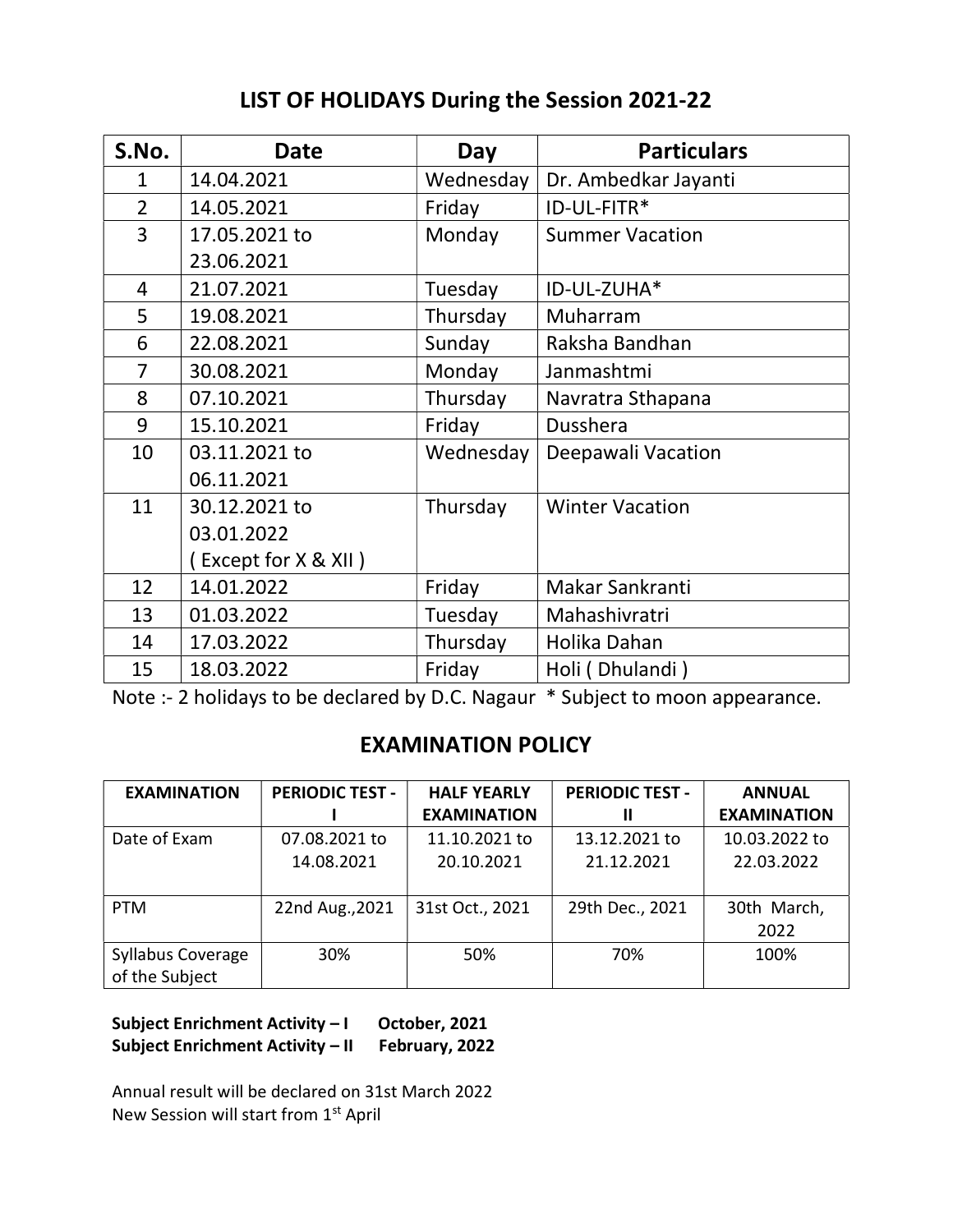## LIST OF HOLIDAYS During the Session 2021-22

| S.No.          | <b>Date</b>          | Day       | <b>Particulars</b>     |  |
|----------------|----------------------|-----------|------------------------|--|
| $\mathbf{1}$   | 14.04.2021           | Wednesday | Dr. Ambedkar Jayanti   |  |
| $\overline{2}$ | 14.05.2021           | Friday    | ID-UL-FITR*            |  |
| 3              | 17.05.2021 to        | Monday    | <b>Summer Vacation</b> |  |
|                | 23.06.2021           |           |                        |  |
| 4              | 21.07.2021           | Tuesday   | ID-UL-ZUHA*            |  |
| 5              | 19.08.2021           | Thursday  | Muharram               |  |
| 6              | 22.08.2021           | Sunday    | Raksha Bandhan         |  |
| 7              | 30.08.2021           | Monday    | Janmashtmi             |  |
| 8              | 07.10.2021           | Thursday  | Navratra Sthapana      |  |
| 9              | 15.10.2021           | Friday    | Dusshera               |  |
| 10             | 03.11.2021 to        | Wednesday | Deepawali Vacation     |  |
|                | 06.11.2021           |           |                        |  |
| 11             | 30.12.2021 to        | Thursday  | <b>Winter Vacation</b> |  |
|                | 03.01.2022           |           |                        |  |
|                | (Except for X & XII) |           |                        |  |
| 12             | 14.01.2022           | Friday    | Makar Sankranti        |  |
| 13             | 01.03.2022           | Tuesday   | Mahashivratri          |  |
| 14             | 17.03.2022           | Thursday  | Holika Dahan           |  |
| 15             | 18.03.2022           | Friday    | Holi (Dhulandi)        |  |

Note :- 2 holidays to be declared by D.C. Nagaur \* Subject to moon appearance.

### EXAMINATION POLICY

| <b>EXAMINATION</b>       | <b>PERIODIC TEST -</b> | <b>HALF YEARLY</b> | <b>PERIODIC TEST -</b> | <b>ANNUAL</b>      |  |
|--------------------------|------------------------|--------------------|------------------------|--------------------|--|
|                          |                        | <b>EXAMINATION</b> | Ш                      | <b>EXAMINATION</b> |  |
| Date of Exam             | 07.08.2021 to          | 11.10.2021 to      | 13.12.2021 to          | 10.03.2022 to      |  |
|                          | 14.08.2021             | 20.10.2021         | 21.12.2021             | 22.03.2022         |  |
|                          |                        |                    |                        |                    |  |
| <b>PTM</b>               | 22nd Aug., 2021        | 31st Oct., 2021    | 29th Dec., 2021        | 30th March,        |  |
|                          |                        |                    |                        | 2022               |  |
| <b>Syllabus Coverage</b> | 30%                    | 50%                | 70%                    | 100%               |  |
| of the Subject           |                        |                    |                        |                    |  |

Subject Enrichment Activity – I October, 2021 Subject Enrichment Activity – II February, 2022

Annual result will be declared on 31st March 2022 New Session will start from 1<sup>st</sup> April